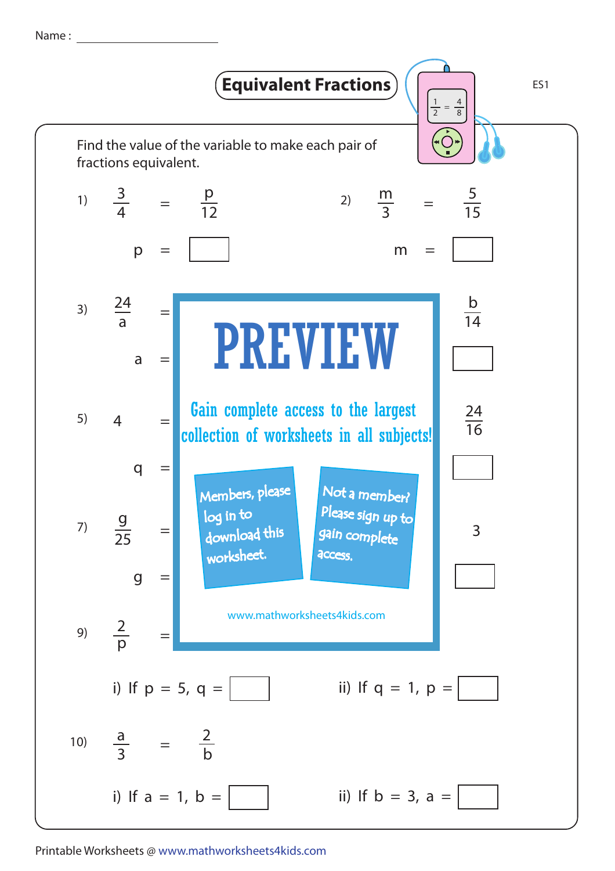Name :



Printable Worksheets @ www.mathworksheets4kids.com